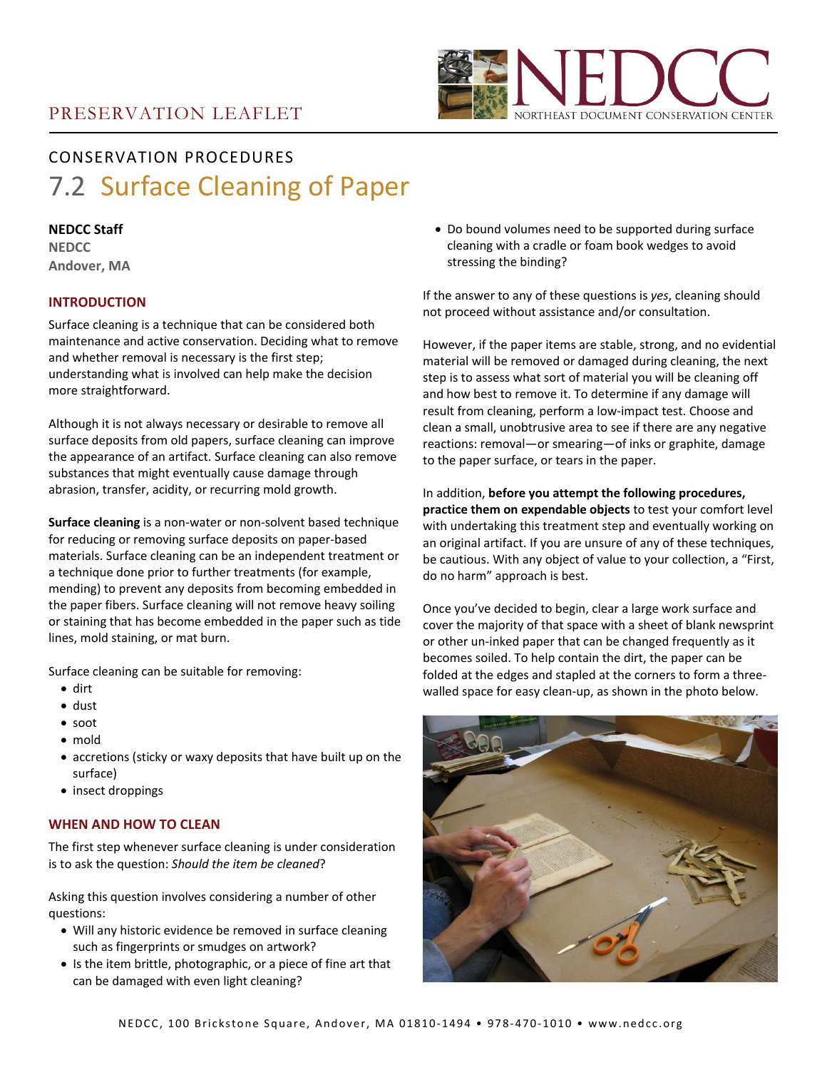

# CONSERVATION PROCEDURES 7.2 Surface Cleaning of Paper

# **NEDCC Staff**

**NEDCC Andover, MA**

# **INTRODUCTION**

Surface cleaning is a technique that can be considered both maintenance and active conservation. Deciding what to remove and whether removal is necessary is the first step; understanding what is involved can help make the decision more straightforward.

Although it is not always necessary or desirable to remove all surface deposits from old papers, surface cleaning can improve the appearance of an artifact. Surface cleaning can also remove substances that might eventually cause damage through abrasion, transfer, acidity, or recurring mold growth.

**Surface cleaning** is a non-water or non-solvent based technique for reducing or removing surface deposits on paper-based materials. Surface cleaning can be an independent treatment or a technique done prior to further treatments (for example, mending) to prevent any deposits from becoming embedded in the paper fibers. Surface cleaning will not remove heavy soiling or staining that has become embedded in the paper such as tide lines, mold staining, or mat burn.

Surface cleaning can be suitable for removing:

- dirt
- dust
- soot
- mold
- accretions (sticky or waxy deposits that have built up on the surface)
- insect droppings

# **WHEN AND HOW TO CLEAN**

The first step whenever surface cleaning is under consideration is to ask the question: *Should the item be cleaned*?

Asking this question involves considering a number of other questions:

- Will any historic evidence be removed in surface cleaning such as fingerprints or smudges on artwork?
- Is the item brittle, photographic, or a piece of fine art that can be damaged with even light cleaning?

• Do bound volumes need to be supported during surface cleaning with a cradle or foam book wedges to avoid stressing the binding?

If the answer to any of these questions is *yes*, cleaning should not proceed without assistance and/or consultation.

However, if the paper items are stable, strong, and no evidential material will be removed or damaged during cleaning, the next step is to assess what sort of material you will be cleaning off and how best to remove it. To determine if any damage will result from cleaning, perform a low-impact test. Choose and clean a small, unobtrusive area to see if there are any negative reactions: removal—or smearing—of inks or graphite, damage to the paper surface, or tears in the paper.

In addition, **before you attempt the following procedures, practice them on expendable objects** to test your comfort level with undertaking this treatment step and eventually working on an original artifact. If you are unsure of any of these techniques, be cautious. With any object of value to your collection, a "First, do no harm" approach is best.

Once you've decided to begin, clear a large work surface and cover the majority of that space with a sheet of blank newsprint or other un-inked paper that can be changed frequently as it becomes soiled. To help contain the dirt, the paper can be folded at the edges and stapled at the corners to form a threewalled space for easy clean-up, as shown in the photo below.

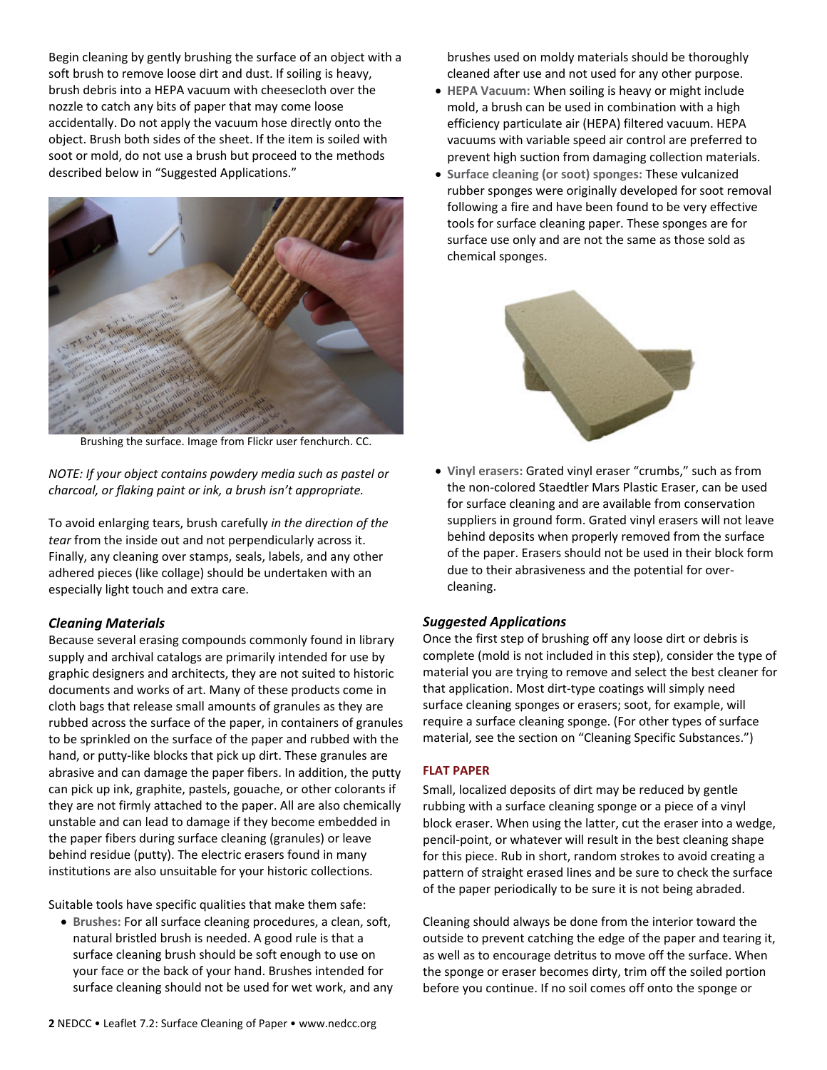Begin cleaning by gently brushing the surface of an object with a soft brush to remove loose dirt and dust. If soiling is heavy, brush debris into a HEPA vacuum with cheesecloth over the nozzle to catch any bits of paper that may come loose accidentally. Do not apply the vacuum hose directly onto the object. Brush both sides of the sheet. If the item is soiled with soot or mold, do not use a brush but proceed to the methods described below in "Suggested Applications."



Brushing the surface. Image from Flickr user fenchurch. CC.

*NOTE: If your object contains powdery media such as pastel or charcoal, or flaking paint or ink, a brush isn't appropriate.*

To avoid enlarging tears, brush carefully *in the direction of the tear* from the inside out and not perpendicularly across it. Finally, any cleaning over stamps, seals, labels, and any other adhered pieces (like collage) should be undertaken with an especially light touch and extra care.

### *Cleaning Materials*

Because several erasing compounds commonly found in library supply and archival catalogs are primarily intended for use by graphic designers and architects, they are not suited to historic documents and works of art. Many of these products come in cloth bags that release small amounts of granules as they are rubbed across the surface of the paper, in containers of granules to be sprinkled on the surface of the paper and rubbed with the hand, or putty-like blocks that pick up dirt. These granules are abrasive and can damage the paper fibers. In addition, the putty can pick up ink, graphite, pastels, gouache, or other colorants if they are not firmly attached to the paper. All are also chemically unstable and can lead to damage if they become embedded in the paper fibers during surface cleaning (granules) or leave behind residue (putty). The electric erasers found in many institutions are also unsuitable for your historic collections.

Suitable tools have specific qualities that make them safe:

• **Brushes:** For all surface cleaning procedures, a clean, soft, natural bristled brush is needed. A good rule is that a surface cleaning brush should be soft enough to use on your face or the back of your hand. Brushes intended for surface cleaning should not be used for wet work, and any brushes used on moldy materials should be thoroughly cleaned after use and not used for any other purpose.

- **HEPA Vacuum:** When soiling is heavy or might include mold, a brush can be used in combination with a high efficiency particulate air (HEPA) filtered vacuum. HEPA vacuums with variable speed air control are preferred to prevent high suction from damaging collection materials.
- **Surface cleaning (or soot) sponges:** These vulcanized rubber sponges were originally developed for soot removal following a fire and have been found to be very effective tools for surface cleaning paper. These sponges are for surface use only and are not the same as those sold as chemical sponges.



• **Vinyl erasers:** Grated vinyl eraser "crumbs," such as from the non-colored Staedtler Mars Plastic Eraser, can be used for surface cleaning and are available from conservation suppliers in ground form. Grated vinyl erasers will not leave behind deposits when properly removed from the surface of the paper. Erasers should not be used in their block form due to their abrasiveness and the potential for overcleaning.

#### *Suggested Applications*

Once the first step of brushing off any loose dirt or debris is complete (mold is not included in this step), consider the type of material you are trying to remove and select the best cleaner for that application. Most dirt-type coatings will simply need surface cleaning sponges or erasers; soot, for example, will require a surface cleaning sponge. (For other types of surface material, see the section on "Cleaning Specific Substances.")

#### **FLAT PAPER**

Small, localized deposits of dirt may be reduced by gentle rubbing with a surface cleaning sponge or a piece of a vinyl block eraser. When using the latter, cut the eraser into a wedge, pencil-point, or whatever will result in the best cleaning shape for this piece. Rub in short, random strokes to avoid creating a pattern of straight erased lines and be sure to check the surface of the paper periodically to be sure it is not being abraded.

Cleaning should always be done from the interior toward the outside to prevent catching the edge of the paper and tearing it, as well as to encourage detritus to move off the surface. When the sponge or eraser becomes dirty, trim off the soiled portion before you continue. If no soil comes off onto the sponge or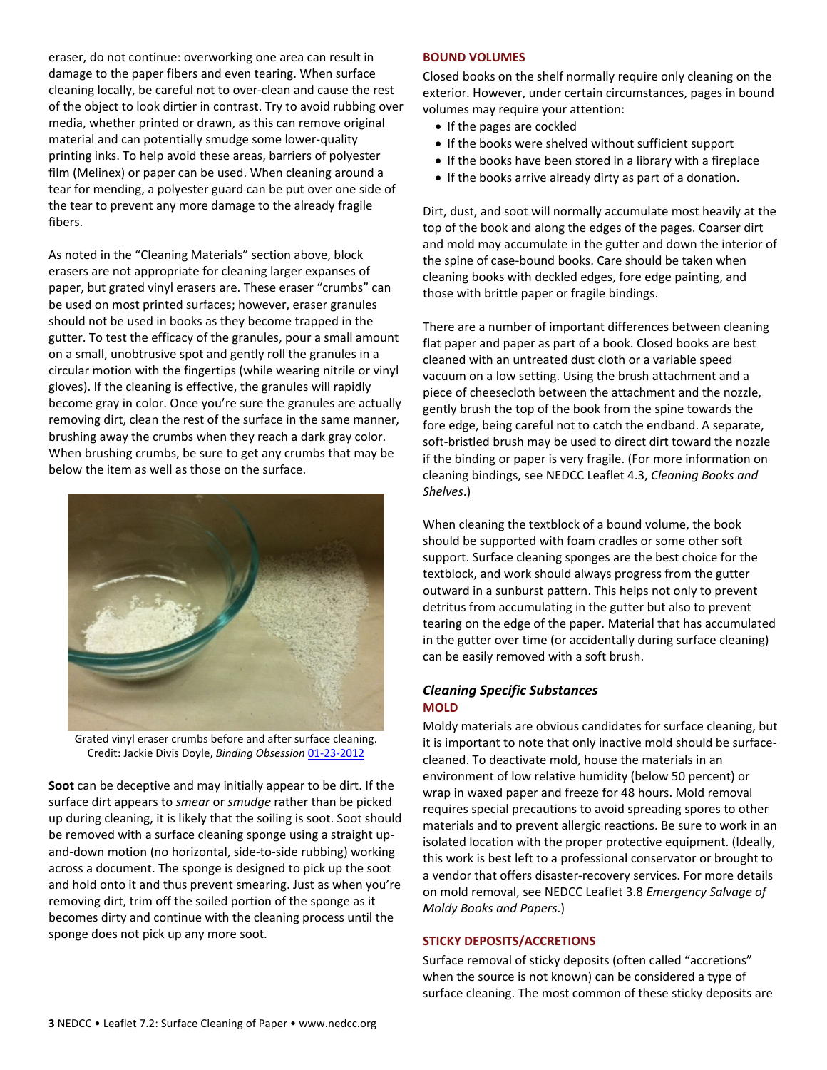eraser, do not continue: overworking one area can result in damage to the paper fibers and even tearing. When surface cleaning locally, be careful not to over-clean and cause the rest of the object to look dirtier in contrast. Try to avoid rubbing over media, whether printed or drawn, as this can remove original material and can potentially smudge some lower-quality printing inks. To help avoid these areas, barriers of polyester film (Melinex) or paper can be used. When cleaning around a tear for mending, a polyester guard can be put over one side of the tear to prevent any more damage to the already fragile fibers.

As noted in the "Cleaning Materials" section above, block erasers are not appropriate for cleaning larger expanses of paper, but grated vinyl erasers are. These eraser "crumbs" can be used on most printed surfaces; however, eraser granules should not be used in books as they become trapped in the gutter. To test the efficacy of the granules, pour a small amount on a small, unobtrusive spot and gently roll the granules in a circular motion with the fingertips (while wearing nitrile or vinyl gloves). If the cleaning is effective, the granules will rapidly become gray in color. Once you're sure the granules are actually removing dirt, clean the rest of the surface in the same manner, brushing away the crumbs when they reach a dark gray color. When brushing crumbs, be sure to get any crumbs that may be below the item as well as those on the surface.



Grated vinyl eraser crumbs before and after surface cleaning. Credit: Jackie Divis Doyle, *Binding Obsession* [01-23-2012](http://bindingobsession.com/2012/01/preservationconservation-internship/)

**Soot** can be deceptive and may initially appear to be dirt. If the surface dirt appears to *smear* or *smudge* rather than be picked up during cleaning, it is likely that the soiling is soot. Soot should be removed with a surface cleaning sponge using a straight upand-down motion (no horizontal, side-to-side rubbing) working across a document. The sponge is designed to pick up the soot and hold onto it and thus prevent smearing. Just as when you're removing dirt, trim off the soiled portion of the sponge as it becomes dirty and continue with the cleaning process until the sponge does not pick up any more soot.

#### **BOUND VOLUMES**

Closed books on the shelf normally require only cleaning on the exterior. However, under certain circumstances, pages in bound volumes may require your attention:

- If the pages are cockled
- If the books were shelved without sufficient support
- If the books have been stored in a library with a fireplace
- If the books arrive already dirty as part of a donation.

Dirt, dust, and soot will normally accumulate most heavily at the top of the book and along the edges of the pages. Coarser dirt and mold may accumulate in the gutter and down the interior of the spine of case-bound books. Care should be taken when cleaning books with deckled edges, fore edge painting, and those with brittle paper or fragile bindings.

There are a number of important differences between cleaning flat paper and paper as part of a book. Closed books are best cleaned with an untreated dust cloth or a variable speed vacuum on a low setting. Using the brush attachment and a piece of cheesecloth between the attachment and the nozzle, gently brush the top of the book from the spine towards the fore edge, being careful not to catch the endband. A separate, soft-bristled brush may be used to direct dirt toward the nozzle if the binding or paper is very fragile. (For more information on cleaning bindings, see NEDCC Leaflet 4.3, *Cleaning Books and Shelves*.)

When cleaning the textblock of a bound volume, the book should be supported with foam cradles or some other soft support. Surface cleaning sponges are the best choice for the textblock, and work should always progress from the gutter outward in a sunburst pattern. This helps not only to prevent detritus from accumulating in the gutter but also to prevent tearing on the edge of the paper. Material that has accumulated in the gutter over time (or accidentally during surface cleaning) can be easily removed with a soft brush.

## *Cleaning Specific Substances* **MOLD**

Moldy materials are obvious candidates for surface cleaning, but it is important to note that only inactive mold should be surfacecleaned. To deactivate mold, house the materials in an environment of low relative humidity (below 50 percent) or wrap in waxed paper and freeze for 48 hours. Mold removal requires special precautions to avoid spreading spores to other materials and to prevent allergic reactions. Be sure to work in an isolated location with the proper protective equipment. (Ideally, this work is best left to a professional conservator or brought to a vendor that offers disaster-recovery services. For more details on mold removal, see NEDCC Leaflet 3.8 *Emergency Salvage of Moldy Books and Papers*.)

### **STICKY DEPOSITS/ACCRETIONS**

Surface removal of sticky deposits (often called "accretions" when the source is not known) can be considered a type of surface cleaning. The most common of these sticky deposits are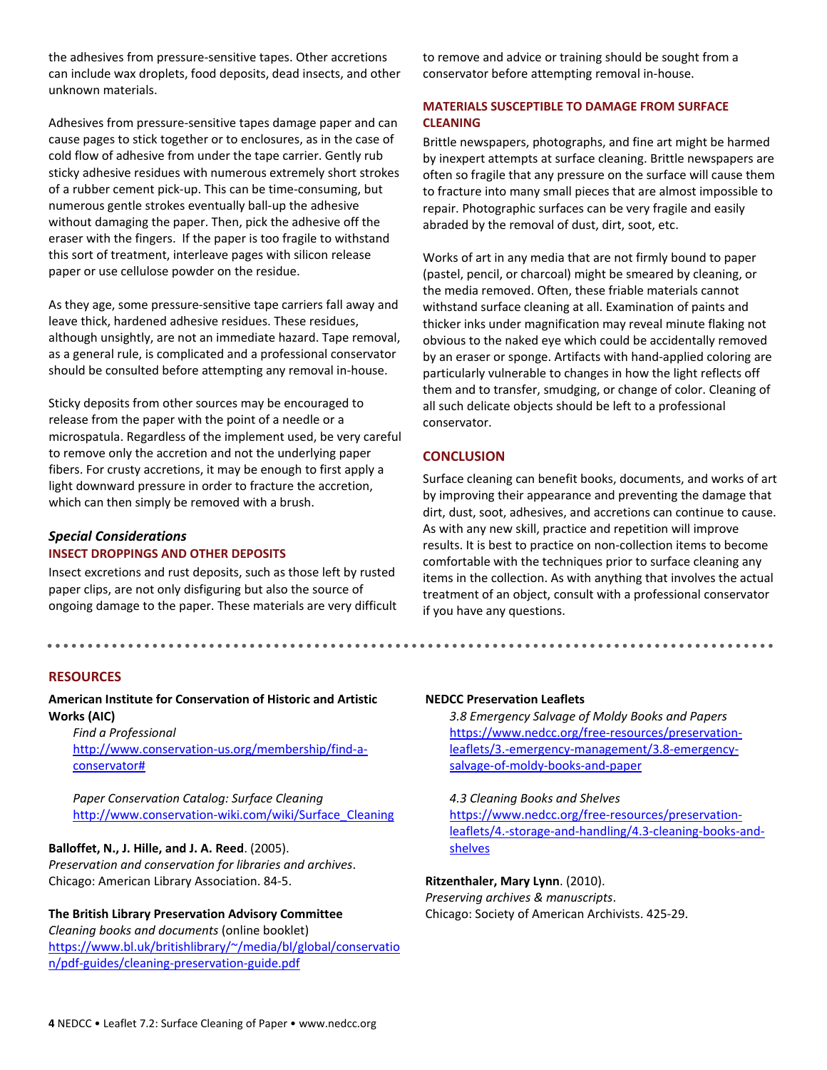the adhesives from pressure-sensitive tapes. Other accretions can include wax droplets, food deposits, dead insects, and other unknown materials.

Adhesives from pressure-sensitive tapes damage paper and can cause pages to stick together or to enclosures, as in the case of cold flow of adhesive from under the tape carrier. Gently rub sticky adhesive residues with numerous extremely short strokes of a rubber cement pick-up. This can be time-consuming, but numerous gentle strokes eventually ball-up the adhesive without damaging the paper. Then, pick the adhesive off the eraser with the fingers. If the paper is too fragile to withstand this sort of treatment, interleave pages with silicon release paper or use cellulose powder on the residue.

As they age, some pressure-sensitive tape carriers fall away and leave thick, hardened adhesive residues. These residues, although unsightly, are not an immediate hazard. Tape removal, as a general rule, is complicated and a professional conservator should be consulted before attempting any removal in-house.

Sticky deposits from other sources may be encouraged to release from the paper with the point of a needle or a microspatula. Regardless of the implement used, be very careful to remove only the accretion and not the underlying paper fibers. For crusty accretions, it may be enough to first apply a light downward pressure in order to fracture the accretion, which can then simply be removed with a brush.

### *Special Considerations* **INSECT DROPPINGS AND OTHER DEPOSITS**

Insect excretions and rust deposits, such as those left by rusted paper clips, are not only disfiguring but also the source of ongoing damage to the paper. These materials are very difficult

**RESOURCES**

## **American Institute for Conservation of Historic and Artistic Works (AIC)**

*Find a Professional* [http://www.conservation-us.org/membership/find-a](http://www.conservation-us.org/membership/find-a-conservator)[conservator#](http://www.conservation-us.org/membership/find-a-conservator)

*Paper Conservation Catalog: Surface Cleaning* [http://www.conservation-wiki.com/wiki/Surface\\_Cleaning](http://www.conservation-wiki.com/wiki/Surface_Cleaning)

# **Balloffet, N., J. Hille, and J. A. Reed**. (2005).

*Preservation and conservation for libraries and archives*. Chicago: American Library Association. 84-5.

### **The British Library Preservation Advisory Committee**

*Cleaning books and documents* (online booklet) [https://www.bl.uk/britishlibrary/~/media/bl/global/conservatio](https://www.bl.uk/britishlibrary/%7E/media/bl/global/conservation/pdf-guides/cleaning-preservation-guide.pdf) [n/pdf-guides/cleaning-preservation-guide.pdf](https://www.bl.uk/britishlibrary/%7E/media/bl/global/conservation/pdf-guides/cleaning-preservation-guide.pdf)

to remove and advice or training should be sought from a conservator before attempting removal in-house.

# **MATERIALS SUSCEPTIBLE TO DAMAGE FROM SURFACE CLEANING**

Brittle newspapers, photographs, and fine art might be harmed by inexpert attempts at surface cleaning. Brittle newspapers are often so fragile that any pressure on the surface will cause them to fracture into many small pieces that are almost impossible to repair. Photographic surfaces can be very fragile and easily abraded by the removal of dust, dirt, soot, etc.

Works of art in any media that are not firmly bound to paper (pastel, pencil, or charcoal) might be smeared by cleaning, or the media removed. Often, these friable materials cannot withstand surface cleaning at all. Examination of paints and thicker inks under magnification may reveal minute flaking not obvious to the naked eye which could be accidentally removed by an eraser or sponge. Artifacts with hand-applied coloring are particularly vulnerable to changes in how the light reflects off them and to transfer, smudging, or change of color. Cleaning of all such delicate objects should be left to a professional conservator.

## **CONCLUSION**

Surface cleaning can benefit books, documents, and works of art by improving their appearance and preventing the damage that dirt, dust, soot, adhesives, and accretions can continue to cause. As with any new skill, practice and repetition will improve results. It is best to practice on non-collection items to become comfortable with the techniques prior to surface cleaning any items in the collection. As with anything that involves the actual treatment of an object, consult with a professional conservator if you have any questions.

## **NEDCC Preservation Leaflets**

*3.8 Emergency Salvage of Moldy Books and Papers* [https://www.nedcc.org/free-resources/preservation](https://www.nedcc.org/free-resources/preservation-leaflets/3.-emergency-management/3.8-emergency-salvage-of-moldy-books-and-paper)[leaflets/3.-emergency-management/3.8-emergency](https://www.nedcc.org/free-resources/preservation-leaflets/3.-emergency-management/3.8-emergency-salvage-of-moldy-books-and-paper)[salvage-of-moldy-books-and-paper](https://www.nedcc.org/free-resources/preservation-leaflets/3.-emergency-management/3.8-emergency-salvage-of-moldy-books-and-paper)

#### *4.3 Cleaning Books and Shelves*

[https://www.nedcc.org/free-resources/preservation](https://www.nedcc.org/free-resources/preservation-leaflets/4.-storage-and-handling/4.3-cleaning-books-and-shelves)[leaflets/4.-storage-and-handling/4.3-cleaning-books-and](https://www.nedcc.org/free-resources/preservation-leaflets/4.-storage-and-handling/4.3-cleaning-books-and-shelves)[shelves](https://www.nedcc.org/free-resources/preservation-leaflets/4.-storage-and-handling/4.3-cleaning-books-and-shelves)

### **Ritzenthaler, Mary Lynn**. (2010).

*Preserving archives & manuscripts*. Chicago: Society of American Archivists. 425-29.